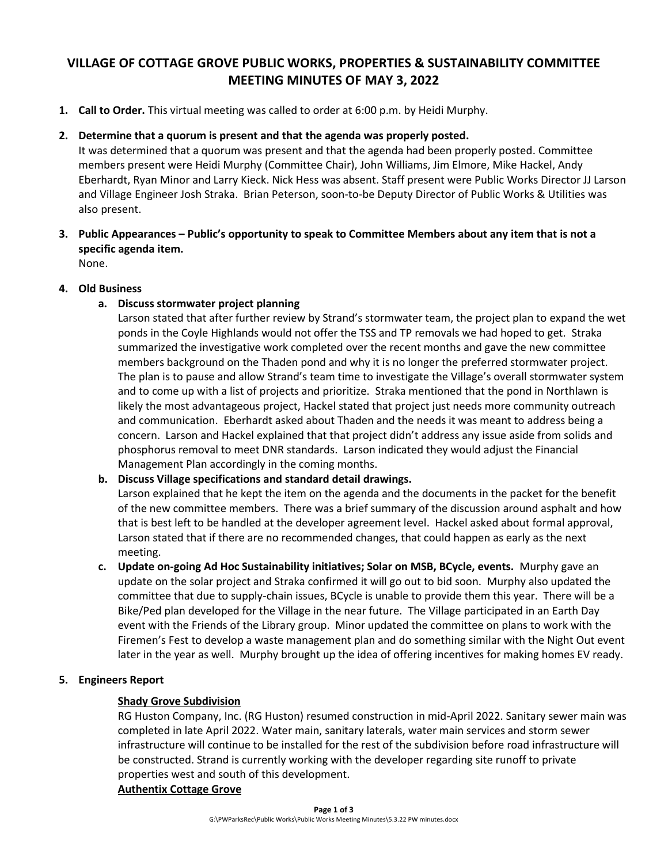# **VILLAGE OF COTTAGE GROVE PUBLIC WORKS, PROPERTIES & SUSTAINABILITY COMMITTEE MEETING MINUTES OF MAY 3, 2022**

**1. Call to Order.** This virtual meeting was called to order at 6:00 p.m. by Heidi Murphy.

# **2. Determine that a quorum is present and that the agenda was properly posted.**

It was determined that a quorum was present and that the agenda had been properly posted. Committee members present were Heidi Murphy (Committee Chair), John Williams, Jim Elmore, Mike Hackel, Andy Eberhardt, Ryan Minor and Larry Kieck. Nick Hess was absent. Staff present were Public Works Director JJ Larson and Village Engineer Josh Straka. Brian Peterson, soon-to-be Deputy Director of Public Works & Utilities was also present.

**3. Public Appearances – Public's opportunity to speak to Committee Members about any item that is not a specific agenda item.**

None.

# **4. Old Business**

# **a. Discuss stormwater project planning**

Larson stated that after further review by Strand's stormwater team, the project plan to expand the wet ponds in the Coyle Highlands would not offer the TSS and TP removals we had hoped to get. Straka summarized the investigative work completed over the recent months and gave the new committee members background on the Thaden pond and why it is no longer the preferred stormwater project. The plan is to pause and allow Strand's team time to investigate the Village's overall stormwater system and to come up with a list of projects and prioritize. Straka mentioned that the pond in Northlawn is likely the most advantageous project, Hackel stated that project just needs more community outreach and communication. Eberhardt asked about Thaden and the needs it was meant to address being a concern. Larson and Hackel explained that that project didn't address any issue aside from solids and phosphorus removal to meet DNR standards. Larson indicated they would adjust the Financial Management Plan accordingly in the coming months.

## **b. Discuss Village specifications and standard detail drawings.**

Larson explained that he kept the item on the agenda and the documents in the packet for the benefit of the new committee members. There was a brief summary of the discussion around asphalt and how that is best left to be handled at the developer agreement level. Hackel asked about formal approval, Larson stated that if there are no recommended changes, that could happen as early as the next meeting.

**c. Update on-going Ad Hoc Sustainability initiatives; Solar on MSB, BCycle, events.** Murphy gave an update on the solar project and Straka confirmed it will go out to bid soon. Murphy also updated the committee that due to supply-chain issues, BCycle is unable to provide them this year. There will be a Bike/Ped plan developed for the Village in the near future. The Village participated in an Earth Day event with the Friends of the Library group. Minor updated the committee on plans to work with the Firemen's Fest to develop a waste management plan and do something similar with the Night Out event later in the year as well. Murphy brought up the idea of offering incentives for making homes EV ready.

## **5. Engineers Report**

## **Shady Grove Subdivision**

RG Huston Company, Inc. (RG Huston) resumed construction in mid-April 2022. Sanitary sewer main was completed in late April 2022. Water main, sanitary laterals, water main services and storm sewer infrastructure will continue to be installed for the rest of the subdivision before road infrastructure will be constructed. Strand is currently working with the developer regarding site runoff to private properties west and south of this development.

## **Authentix Cottage Grove**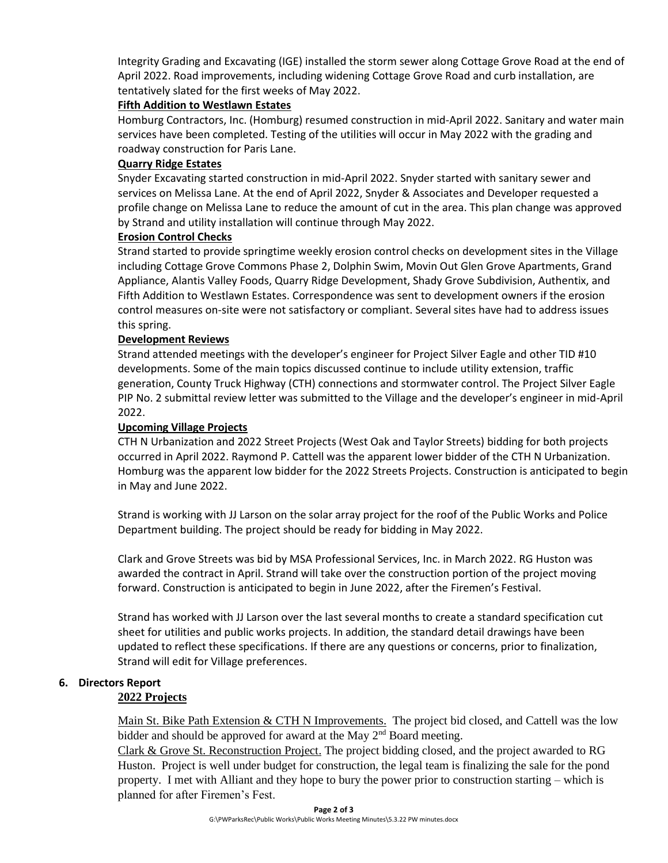Integrity Grading and Excavating (IGE) installed the storm sewer along Cottage Grove Road at the end of April 2022. Road improvements, including widening Cottage Grove Road and curb installation, are tentatively slated for the first weeks of May 2022.

### **Fifth Addition to Westlawn Estates**

Homburg Contractors, Inc. (Homburg) resumed construction in mid-April 2022. Sanitary and water main services have been completed. Testing of the utilities will occur in May 2022 with the grading and roadway construction for Paris Lane.

#### **Quarry Ridge Estates**

Snyder Excavating started construction in mid-April 2022. Snyder started with sanitary sewer and services on Melissa Lane. At the end of April 2022, Snyder & Associates and Developer requested a profile change on Melissa Lane to reduce the amount of cut in the area. This plan change was approved by Strand and utility installation will continue through May 2022.

#### **Erosion Control Checks**

Strand started to provide springtime weekly erosion control checks on development sites in the Village including Cottage Grove Commons Phase 2, Dolphin Swim, Movin Out Glen Grove Apartments, Grand Appliance, Alantis Valley Foods, Quarry Ridge Development, Shady Grove Subdivision, Authentix, and Fifth Addition to Westlawn Estates. Correspondence was sent to development owners if the erosion control measures on-site were not satisfactory or compliant. Several sites have had to address issues this spring.

#### **Development Reviews**

Strand attended meetings with the developer's engineer for Project Silver Eagle and other TID #10 developments. Some of the main topics discussed continue to include utility extension, traffic generation, County Truck Highway (CTH) connections and stormwater control. The Project Silver Eagle PIP No. 2 submittal review letter was submitted to the Village and the developer's engineer in mid-April 2022.

#### **Upcoming Village Projects**

CTH N Urbanization and 2022 Street Projects (West Oak and Taylor Streets) bidding for both projects occurred in April 2022. Raymond P. Cattell was the apparent lower bidder of the CTH N Urbanization. Homburg was the apparent low bidder for the 2022 Streets Projects. Construction is anticipated to begin in May and June 2022.

Strand is working with JJ Larson on the solar array project for the roof of the Public Works and Police Department building. The project should be ready for bidding in May 2022.

Clark and Grove Streets was bid by MSA Professional Services, Inc. in March 2022. RG Huston was awarded the contract in April. Strand will take over the construction portion of the project moving forward. Construction is anticipated to begin in June 2022, after the Firemen's Festival.

Strand has worked with JJ Larson over the last several months to create a standard specification cut sheet for utilities and public works projects. In addition, the standard detail drawings have been updated to reflect these specifications. If there are any questions or concerns, prior to finalization, Strand will edit for Village preferences.

## **6. Directors Report**

#### **2022 Projects**

Main St. Bike Path Extension  $& CTHN$  Improvements. The project bid closed, and Cattell was the low bidder and should be approved for award at the May  $2<sup>nd</sup>$  Board meeting.

Clark & Grove St. Reconstruction Project. The project bidding closed, and the project awarded to RG Huston. Project is well under budget for construction, the legal team is finalizing the sale for the pond property. I met with Alliant and they hope to bury the power prior to construction starting – which is planned for after Firemen's Fest.